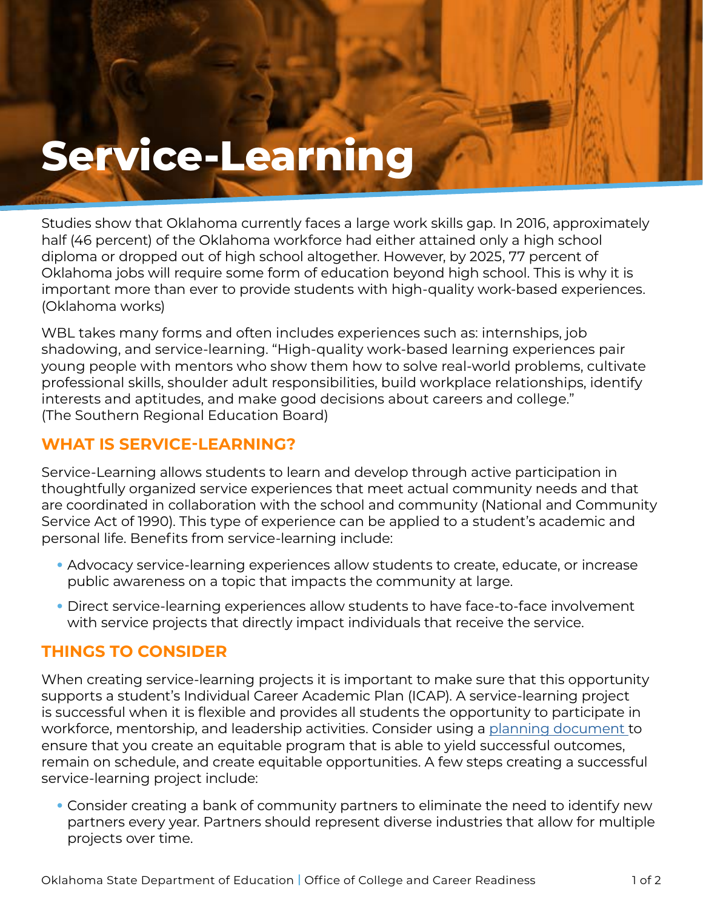# **Service-Learning**

Studies show that Oklahoma currently faces a large work skills gap. In 2016, approximately half (46 percent) of the Oklahoma workforce had either attained only a high school diploma or dropped out of high school altogether. However, by 2025, 77 percent of Oklahoma jobs will require some form of education beyond high school. This is why it is important more than ever to provide students with high-quality work-based experiences. (Oklahoma works)

WBL takes many forms and often includes experiences such as: internships, job shadowing, and service-learning. "High-quality work-based learning experiences pair young people with mentors who show them how to solve real-world problems, cultivate professional skills, shoulder adult responsibilities, build workplace relationships, identify interests and aptitudes, and make good decisions about careers and college." (The Southern Regional Education Board)

# **WHAT IS SERVICE-LEARNING?**

Service-Learning allows students to learn and develop through active participation in thoughtfully organized service experiences that meet actual community needs and that are coordinated in collaboration with the school and community (National and Community Service Act of 1990). This type of experience can be applied to a student's academic and personal life. Benefits from service-learning include:

- Advocacy service-learning experiences allow students to create, educate, or increase public awareness on a topic that impacts the community at large.
- Direct service-learning experiences allow students to have face-to-face involvement with service projects that directly impact individuals that receive the service.

# **THINGS TO CONSIDER**

When creating service-learning projects it is important to make sure that this opportunity supports a student's Individual Career Academic Plan (ICAP). A service-learning project is successful when it is flexible and provides all students the opportunity to participate in workforce, mentorship, and leadership activities. Consider using a [planning document](https://www.okedge.com/wp-content/uploads/2021/10/Industry-Engagement-Action-Planner-Fillable-Form47.pdf) to ensure that you create an equitable program that is able to yield successful outcomes, remain on schedule, and create equitable opportunities. A few steps creating a successful service-learning project include:

• Consider creating a bank of community partners to eliminate the need to identify new partners every year. Partners should represent diverse industries that allow for multiple projects over time.